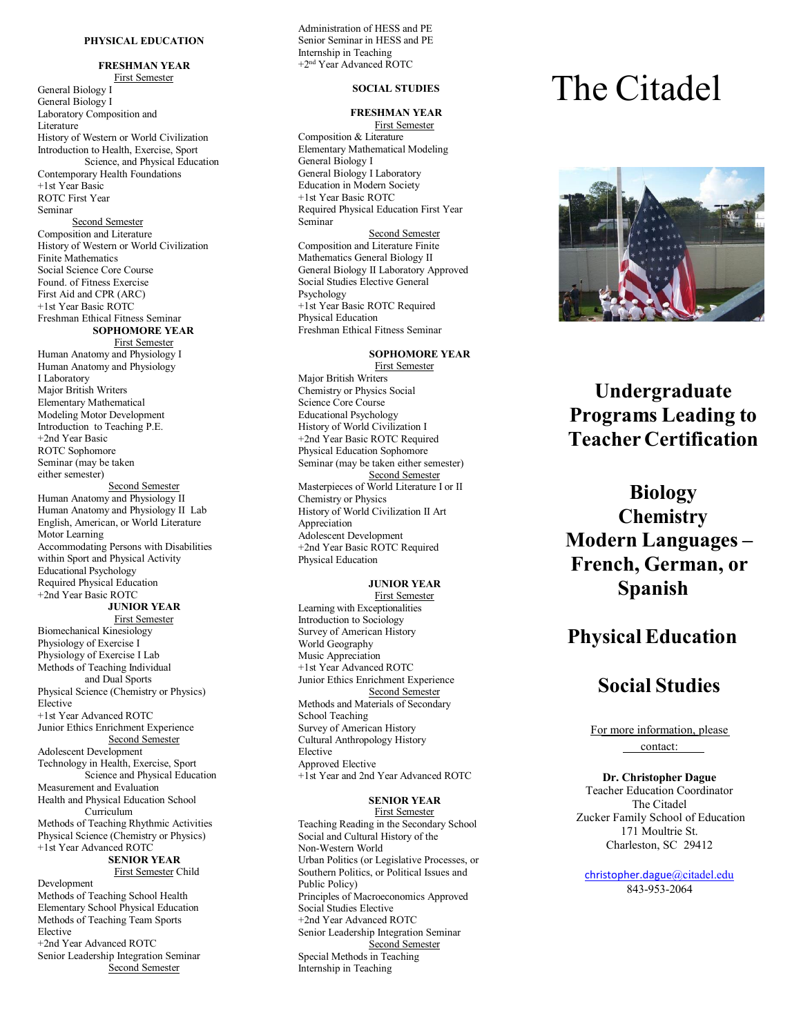#### **PH Y S I C A L EDUCATION**

**FRESHMAN YEAR** First Semester General Biology I General Biology I Laboratory Composition and Literature History of Western or World Civilization Introduction to Health, Exercise, Sport Science, and Physical Education Contemporary Health Foundations +1st Year Basic ROTC First Year S eminar Second Semester Composition and Literature History of Western or World Civilization Finite Mathematics S ocial Sci ence C o re Course Found. of Fitn ess Exe rcise First Aid and CPR (ARC) +1st Year Basic ROTC Freshman Ethical Fitness Seminar **SOPHOMORE YEA R** First Semester Human Anatomy and Physiology I Human Anatomy and Physiology I Laboratory Major British Writers Elementary Mathematical Modeling Motor Development Introduction to Teaching P.E. + 2nd Y ear B asic ROTC Sophomore S e m inar (may be taken either semester) Second Semester Human Anatomy and Physiology II Hum an Anat omy a n d P h ysiology II Lab English, American, or World Literature Motor Learning Accommodating Persons with Disabilities within Sport and Physical Activity Educational Psychology Required Physical Education + 2nd Y ear B asic R O T C **JUNIOR YEAR** First Semester Bi o m e c h a n i cal Kin esiology Physiology of Exercise I Physiology of Exercise I Lab Methods of Teaching Individual and Dual Sports Physical Science (Chemistry or Physics) Elective +1st Year Advanced ROTC Junior Ethics Enrichment Experience Second Semester Adolescent Development Technology in Health, Exercise, Sport t i o n Measurement and Evaluation Health and Physical Education School Curr iculu m Methods of Teaching Rhythmic Activities Physical Science (Chemistry or Physics) +1st Year Advanced ROTC **SENIOR** YEAR First Semester Child Developm ent M eth ods o f T each ing S c hool Health

Elementary School Physical Education Methods of Teaching Team Sports **Elective** + 2nd Y ear Ad vanc e d R O T C Senior Leadership Integration Seminar Second Semester

Administration of HESS and PE Senior Seminar in HESS and PE Internship in Teaching +2nd Year Advanced ROTC

### **SOCIAL STUDIES**

#### **FRESHMAN YEAR** First Semester

Composition & Literature Elementary Mathematical Modeling General Biology <sup>I</sup> Education in Modern Society +1st Year Basic ROTC Required Physical Education First Year S eminar Second Semester Composition and Literature Finite Mathematics General Biology II General Biology II Laboratory Approved Social Studies Elective General P s ychology +1st Year Basic ROTC Required Physical Education Freshman Ethical Fitness Seminar

# **SOPHOMORE Y E A R**

First Semester Major British Writers Chemistry or Physics Social Science Core Course E duc ati onal P s ychology History of World Civilization I +2nd Year Basic ROTC Required Physical Education Sophomore S eminar (may be taken either semester) Second Semester Masterpieces of World Literature I or II Chemistry or Physics History of World Civilization II Art Appreciation Adolescent Development +2nd Year Basic ROTC Required Physical Education

#### **JUNIOR YEAR** First Semester

Learning with Exceptionalities Introduction to Sociology Survey of American History World Geography Music Appreciation +1st Year Advanced ROTC Junior Ethics Enrichment Experience Second Semester Methods and Materials of Secondary School Teaching Survey of American History Cultural Anthropology History Elective App rove d Electi v e +1 s t Y ear and 2n d Y ear Ad v a n c e d R O T C

#### **S E NIOR Y E A R**

First Semester Teaching Reading in the Secondary School Social and Cultural History of the Non-Western World Urban Polit ics (or Legislative Processes, or Southern Politics, or Political Issues and Public Policy) Principles of Macroeconomics Approved Social Studies Elective + 2nd Y ear A d vanc e d R O T C Senior Leadership Integration Seminar Second Semester<br>Special Methods in Teaching Internship in Teaching

# The Cita del



# Undergraduate **Programs** Leading to **Te acher Certi fication**

# **Bi ology Che mistry Modern Langua ges – Frenc h , G e r man, or Sp anish**

# **Physical Education**

# **Social Studies**

For more information, please contact:

#### **Dr. Christopher Dague**

Teacher Education Coordinator The Citadel Zucker Family School of Education 171 Moultrie St. Charleston, SC 29412

[christopher.dague](mailto:christopher.dague@citadel.edu)@citadel.edu 8 4 3 -95 3 -206 4